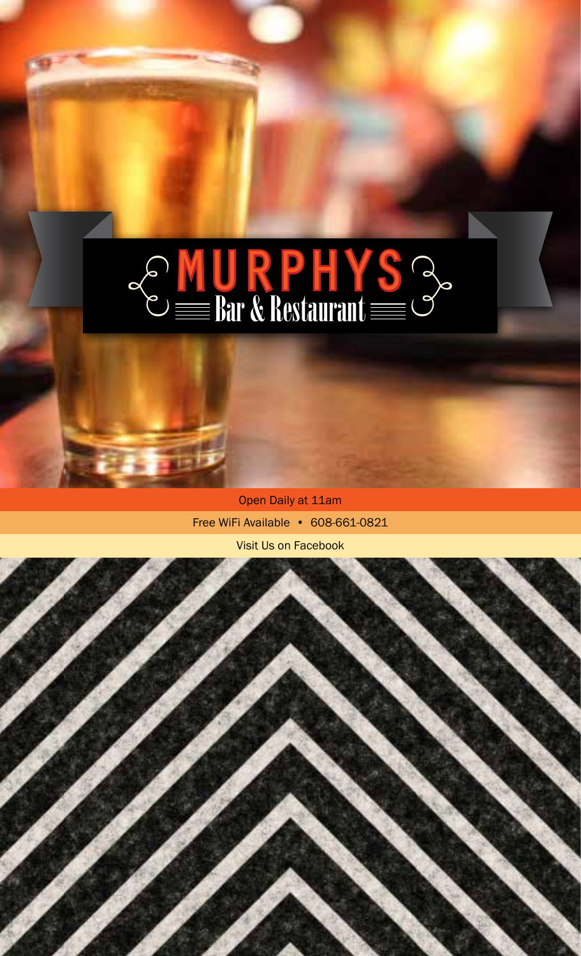# $MUPPHYS \equiv Bar & Restaurant  $\equiv$$

Open Daily at 11am Free WiFi Available • 608-661-0821 Visit Us on Facebook

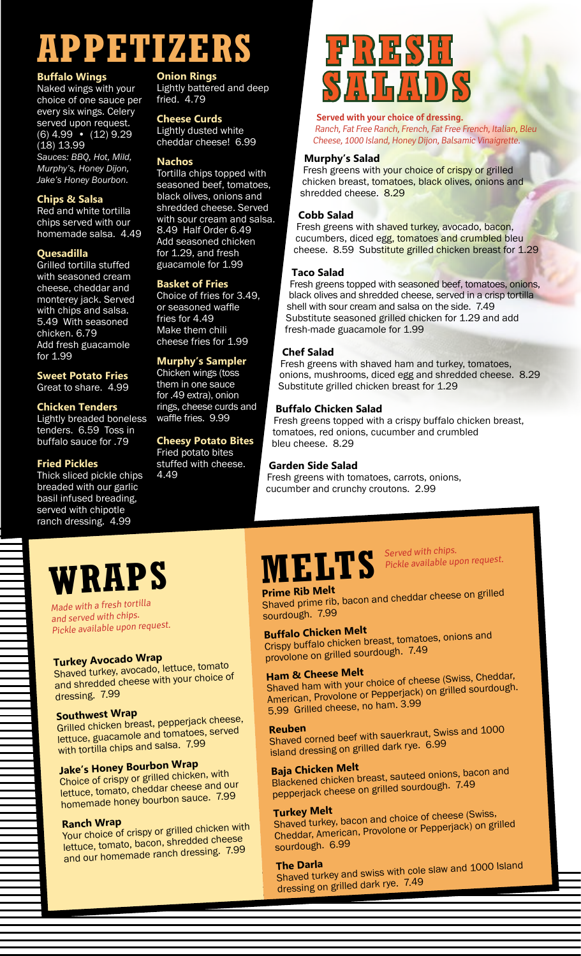# **APPETIZERS**

#### **Buffalo Wings**

Naked wings with your choice of one sauce per every six wings. Celery served upon request. (6) 4.99 • (12) 9.29 (18) 13.99

*Sauces: BBQ, Hot, Mild, Murphy's, Honey Dijon, Jake's Honey Bourbon.* 

#### **Chips & Salsa**

Red and white tortilla chips served with our homemade salsa. 4.49

#### **Quesadilla**

Grilled tortilla stuffed with seasoned cream cheese, cheddar and monterey jack. Served with chips and salsa. 5.49 With seasoned chicken. 6.79 Add fresh guacamole for 1.99

#### **Sweet Potato Fries** Great to share. 4.99

#### **Chicken Tenders**

Lightly breaded boneless tenders. 6.59 Toss in buffalo sauce for .79

#### **Fried Pickles**

Thick sliced pickle chips breaded with our garlic basil infused breading, served with chipotle ranch dressing. 4.99

### **Onion Rings**

Lightly battered and deep fried. 4.79

#### **Cheese Curds**

Lightly dusted white cheddar cheese! 6.99

#### **Nachos**

Tortilla chips topped with seasoned beef, tomatoes, black olives, onions and shredded cheese. Served with sour cream and salsa. 8.49 Half Order 6.49 Add seasoned chicken for 1.29, and fresh guacamole for 1.99

#### **Basket of Fries**

Choice of fries for 3.49, or seasoned waffle fries for 4.49 Make them chili cheese fries for 1.99

#### **Murphy's Sampler**

Chicken wings (toss them in one sauce for .49 extra), onion rings, cheese curds and waffle fries. 9.99

#### **Cheesy Potato Bites** Fried potato bites

stuffed with cheese. 4.49

# **FRESH SALADS**

**Served with your choice of dressing.** Ranch, Fat Free Ranch, French, Fat Free French, Italian, Bleu Cheese, 1000 Island, Honey Dijon, Balsamic Vinaigrette.

#### **Murphy's Salad**

Fresh greens with your choice of crispy or grilled chicken breast, tomatoes, black olives, onions and shredded cheese. 8.29

#### **Cobb Salad**

Fresh greens with shaved turkey, avocado, bacon, cucumbers, diced egg, tomatoes and crumbled bleu cheese. 8.59 Substitute grilled chicken breast for 1.29

#### **Taco Salad**

Fresh greens topped with seasoned beef, tomatoes, onions, black olives and shredded cheese, served in a crisp tortilla shell with sour cream and salsa on the side. 7.49 Substitute seasoned grilled chicken for 1.29 and add fresh-made guacamole for 1.99

#### **Chef Salad**

Fresh greens with shaved ham and turkey, tomatoes, onions, mushrooms, diced egg and shredded cheese. 8.29 Substitute grilled chicken breast for 1.29

#### **Buffalo Chicken Salad**

Fresh greens topped with a crispy buffalo chicken breast, tomatoes, red onions, cucumber and crumbled bleu cheese. 8.29

#### **Garden Side Salad**

Fresh greens with tomatoes, carrots, onions, cucumber and crunchy croutons. 2.99

# **WRAPS**

Made with a fresh tortilla and served with chips. Pickle available upon request.

### **Turkey Avocado Wrap**

Shaved turkey, avocado, lettuce, tomato and shredded cheese with your choice of dressing. 7.99

#### **Southwest Wrap**

Grilled chicken breast, pepperjack cheese, lettuce, guacamole and tomatoes, serve<sup>d</sup> with tortilla chips and salsa. 7.99

### **Jake's Honey Bourbon Wrap**

Choice of crispy or grilled chicken, with lettuce, tomato, cheddar cheese and our homemade honey bourbon sauce. 7.99

#### **Ranch Wrap**

Your choice of crispy or grilled chicken with lettuce, tomato, bacon, shredded cheese and our homemade ranch dressing. 7.99

# **MELTS**

Served with chips. Pickle available upon request.

**Prime Rib Melt** Shaved prime rib, bacon and cheddar cheese on grilled sourdough. 7.99

### **Buffalo Chicken Melt**

Crispy buffalo chicken breast, tomatoes, onions and provolone on grilled sourdough. 7.49

### **Ham & Cheese Melt**

Shaved ham with your choice of cheese (Swiss, Cheddar, American, Provolone or Pepperjack) on grilled sourdough. 5.99 Grilled cheese, no ham. 3.99

**Reuben** Shaved corned beef with sauerkraut, Swiss and 1000 island dressing on grilled dark rye. 6.99

### **Baja Chicken Melt**

Blackened chicken breast, sauteed onions, bacon and pepperjack cheese on grilled sourdough. 7.49

**Turkey Melt** Shaved turkey, bacon and choice of cheese (Swiss, Cheddar, American, Provolone or Pepperjack) on grilled sourdough. 6.99

**The Darla**<br>Shaved turkey and swiss with cole slaw and 1000 Island dressing on grilled dark rye. 7.49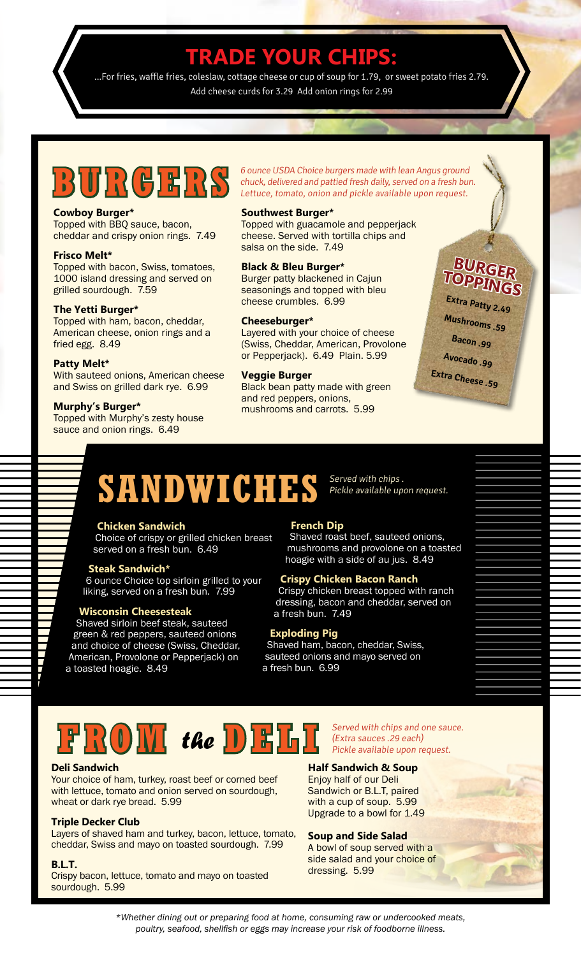### **TRADE YOUR CHIPS:**

...For fries, waffle fries, coleslaw, cottage cheese or cup of soup for 1.79, or sweet potato fries 2.79. Add cheese curds for 3.29 Add onion rings for 2.99

#### **Cowboy Burger\***

Topped with BBQ sauce, bacon, cheddar and crispy onion rings. 7.49

#### **Frisco Melt\***

Topped with bacon, Swiss, tomatoes, 1000 island dressing and served on grilled sourdough. 7.59

#### **The Yetti Burger\***

Topped with ham, bacon, cheddar, American cheese, onion rings and a fried egg. 8.49

#### **Patty Melt\***

With sauteed onions, American cheese and Swiss on grilled dark rye. 6.99

#### **Murphy's Burger\***

Topped with Murphy's zesty house sauce and onion rings. 6.49

**BURGERS** 6 ounce USDA Choice burgers made with lean Angus ground<br>Lettuce, tomato, onion and pickle available upon request. chuck, delivered and pattied fresh daily, served on a fresh bun. Lettuce, tomato, onion and pickle available upon request.

#### **Southwest Burger\***

Topped with guacamole and pepperjack cheese. Served with tortilla chips and salsa on the side. 7.49

#### **Black & Bleu Burger\***

Burger patty blackened in Cajun seasonings and topped with bleu cheese crumbles. 6.99

#### **Cheeseburger\***

Layered with your choice of cheese (Swiss, Cheddar, American, Provolone or Pepperjack). 6.49 Plain. 5.99

#### **Veggie Burger**

Black bean patty made with green and red peppers, onions, mushrooms and carrots. 5.99

### **BURGER TOPPINGS**

**Extra Patty 2.49 Mushrooms .59 Bacon .99 Avocado .99 Extra Cheese .59**

# **SANDWICHES**

#### **Chicken Sandwich**

Choice of crispy or grilled chicken breast served on a fresh bun. 6.49

#### **Steak Sandwich\***

6 ounce Choice top sirloin grilled to your liking, served on a fresh bun. 7.99

#### **Wisconsin Cheesesteak**

Shaved sirloin beef steak, sauteed green & red peppers, sauteed onions and choice of cheese (Swiss, Cheddar, American, Provolone or Pepperjack) on a toasted hoagie. 8.49

#### **French Dip**

Shaved roast beef, sauteed onions, mushrooms and provolone on a toasted hoagie with a side of au jus. 8.49

Served with chips .

Pickle available upon request.

#### **Crispy Chicken Bacon Ranch**

Crispy chicken breast topped with ranch dressing, bacon and cheddar, served on a fresh bun. 7.49

#### **Exploding Pig**

Shaved ham, bacon, cheddar, Swiss, sauteed onions and mayo served on a fresh bun. 6.99



#### **Deli Sandwich**

Your choice of ham, turkey, roast beef or corned beef with lettuce, tomato and onion served on sourdough, wheat or dark rye bread. 5.99

#### **Triple Decker Club**

Layers of shaved ham and turkey, bacon, lettuce, tomato, cheddar, Swiss and mayo on toasted sourdough. 7.99

#### **B.L.T.**

y

Crispy bacon, lettuce, tomato and mayo on toasted sourdough. 5.99

Served with chips and one sauce. (Extra sauces .29 each) Pickle available upon request.

#### **Half Sandwich & Soup**

Enjoy half of our Deli Sandwich or B.L.T, paired with a cup of soup. 5.99 Upgrade to a bowl for 1.49

#### **Soup and Side Salad**

A bowl of soup served with a side salad and your choice of dressing. 5.99

*\*Whether dining out or preparing food at home, consuming raw or undercooked meats, poultry, seafood, shellfish or eggs may increase your risk of foodborne illness.*